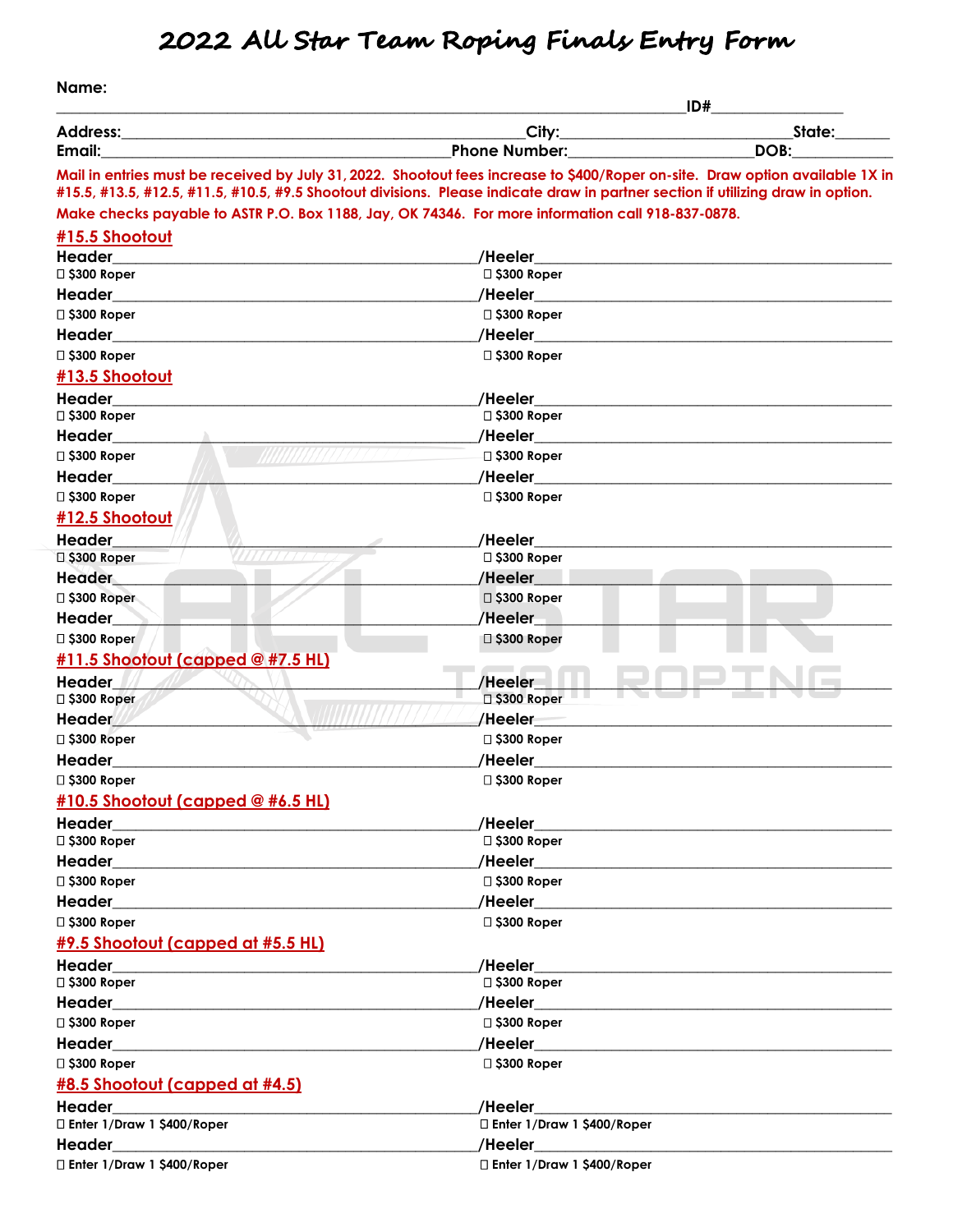## **2022 All Star Team Roping Finals Entry Form**

**Name:** 

|                                                             | ID#                                                                                                                                                                                                                                                               |                                                                                                                                                                                                                                      |
|-------------------------------------------------------------|-------------------------------------------------------------------------------------------------------------------------------------------------------------------------------------------------------------------------------------------------------------------|--------------------------------------------------------------------------------------------------------------------------------------------------------------------------------------------------------------------------------------|
| <b>Address:</b>                                             | City:                                                                                                                                                                                                                                                             | State:                                                                                                                                                                                                                               |
| Email:                                                      | <b>Phone Number:</b>                                                                                                                                                                                                                                              | DOB:                                                                                                                                                                                                                                 |
|                                                             | Mail in entries must be received by July 31, 2022. Shootout fees increase to \$400/Roper on-site. Draw option available 1X in<br>#15.5, #13.5, #12.5, #11.5, #10.5, #9.5 Shootout divisions. Please indicate draw in partner section if utilizing draw in option. |                                                                                                                                                                                                                                      |
|                                                             | Make checks payable to ASTR P.O. Box 1188, Jay, OK 74346. For more information call 918-837-0878.                                                                                                                                                                 |                                                                                                                                                                                                                                      |
| #15.5 Shootout                                              |                                                                                                                                                                                                                                                                   |                                                                                                                                                                                                                                      |
| <b>Header</b>                                               | /Heeler                                                                                                                                                                                                                                                           |                                                                                                                                                                                                                                      |
| □ \$300 Roper                                               | □ \$300 Roper                                                                                                                                                                                                                                                     |                                                                                                                                                                                                                                      |
| Header                                                      | /Heeler                                                                                                                                                                                                                                                           |                                                                                                                                                                                                                                      |
| □ \$300 Roper                                               | $\square$ \$300 Roper                                                                                                                                                                                                                                             |                                                                                                                                                                                                                                      |
| Header                                                      | /Heeler                                                                                                                                                                                                                                                           |                                                                                                                                                                                                                                      |
| □ \$300 Roper                                               | □ \$300 Roper                                                                                                                                                                                                                                                     |                                                                                                                                                                                                                                      |
| <b>#13.5 Shootout</b>                                       |                                                                                                                                                                                                                                                                   |                                                                                                                                                                                                                                      |
| <b>Header</b>                                               | /Heeler                                                                                                                                                                                                                                                           |                                                                                                                                                                                                                                      |
| □ \$300 Roper                                               | □ \$300 Roper                                                                                                                                                                                                                                                     |                                                                                                                                                                                                                                      |
| Header                                                      | /Heeler                                                                                                                                                                                                                                                           |                                                                                                                                                                                                                                      |
| □ \$300 Roper                                               | □ \$300 Roper                                                                                                                                                                                                                                                     |                                                                                                                                                                                                                                      |
| Header                                                      | /Heeler                                                                                                                                                                                                                                                           |                                                                                                                                                                                                                                      |
| □ \$300 Roper                                               | $\square$ \$300 Roper                                                                                                                                                                                                                                             |                                                                                                                                                                                                                                      |
| #12.5 Shootout                                              |                                                                                                                                                                                                                                                                   |                                                                                                                                                                                                                                      |
| <b>Header</b>                                               | /Heeler                                                                                                                                                                                                                                                           |                                                                                                                                                                                                                                      |
| 77777<br>□ \$300 Roper                                      | □ \$300 Roper                                                                                                                                                                                                                                                     |                                                                                                                                                                                                                                      |
| <b>Header</b>                                               | /Heeler                                                                                                                                                                                                                                                           |                                                                                                                                                                                                                                      |
| □ \$300 Roper                                               | □ \$300 Roper                                                                                                                                                                                                                                                     |                                                                                                                                                                                                                                      |
| Header                                                      | /Heeler                                                                                                                                                                                                                                                           |                                                                                                                                                                                                                                      |
| $\square$ \$300 Roper                                       | □ \$300 Roper                                                                                                                                                                                                                                                     |                                                                                                                                                                                                                                      |
| #11.5 Shootout (capped @ #7.5 HL)                           |                                                                                                                                                                                                                                                                   |                                                                                                                                                                                                                                      |
| <b>Header</b>                                               | /Heeler                                                                                                                                                                                                                                                           |                                                                                                                                                                                                                                      |
| □ \$300 Roper                                               | □ \$300 Roper                                                                                                                                                                                                                                                     |                                                                                                                                                                                                                                      |
| <b>Header</b>                                               | /Heeler                                                                                                                                                                                                                                                           |                                                                                                                                                                                                                                      |
| □ \$300 Roper                                               | □ \$300 Roper                                                                                                                                                                                                                                                     |                                                                                                                                                                                                                                      |
| Header                                                      | /Heeler                                                                                                                                                                                                                                                           |                                                                                                                                                                                                                                      |
| □ \$300 Roper                                               | $\square$ \$300 Roper                                                                                                                                                                                                                                             |                                                                                                                                                                                                                                      |
| #10.5 Shootout (capped @ #6.5 HL)                           |                                                                                                                                                                                                                                                                   |                                                                                                                                                                                                                                      |
| Header<br><u> 1980 - Johann Barbara, martxa alemaniar a</u> | /Heeler                                                                                                                                                                                                                                                           |                                                                                                                                                                                                                                      |
| □ \$300 Roper                                               | □ \$300 Roper                                                                                                                                                                                                                                                     |                                                                                                                                                                                                                                      |
| Header                                                      |                                                                                                                                                                                                                                                                   |                                                                                                                                                                                                                                      |
| $\square$ \$300 Roper                                       | $\square$ \$300 Roper                                                                                                                                                                                                                                             |                                                                                                                                                                                                                                      |
| Header                                                      | /Heeler                                                                                                                                                                                                                                                           |                                                                                                                                                                                                                                      |
| $\square$ \$300 Roper                                       | □ \$300 Roper                                                                                                                                                                                                                                                     |                                                                                                                                                                                                                                      |
| #9.5 Shootout (capped at #5.5 HL)                           |                                                                                                                                                                                                                                                                   |                                                                                                                                                                                                                                      |
| Header                                                      | <b>Heeler Exercise 2008</b>                                                                                                                                                                                                                                       |                                                                                                                                                                                                                                      |
| □ \$300 Roper                                               | □ \$300 Roper                                                                                                                                                                                                                                                     |                                                                                                                                                                                                                                      |
| Header                                                      |                                                                                                                                                                                                                                                                   | /Heeler <b>the contract of the contract of the contract of the contract of the contract of the contract of the contract of the contract of the contract of the contract of the contract of the contract of the contract of the c</b> |
| □ \$300 Roper                                               | □ \$300 Roper                                                                                                                                                                                                                                                     |                                                                                                                                                                                                                                      |
| Header                                                      |                                                                                                                                                                                                                                                                   | /Heeler <b>Exercise Service Service Service Service Service Service Service Service Service Service Service Service Service Service Service Service Service Service Service Service Service Service Service Service Service Serv</b> |
| $\square$ \$300 Roper                                       | □ \$300 Roper                                                                                                                                                                                                                                                     |                                                                                                                                                                                                                                      |
| #8.5 Shootout (capped at #4.5)                              |                                                                                                                                                                                                                                                                   |                                                                                                                                                                                                                                      |
| Header                                                      | /Heeler                                                                                                                                                                                                                                                           |                                                                                                                                                                                                                                      |
| □ Enter 1/Draw 1 \$400/Roper                                | $\Box$ Enter 1/Draw 1 \$400/Roper                                                                                                                                                                                                                                 |                                                                                                                                                                                                                                      |
| Header<br><u> 1989 - Andrea Sta</u>                         |                                                                                                                                                                                                                                                                   |                                                                                                                                                                                                                                      |
| □ Enter 1/Draw 1 \$400/Roper                                | □ Enter 1/Draw 1 \$400/Roper                                                                                                                                                                                                                                      |                                                                                                                                                                                                                                      |